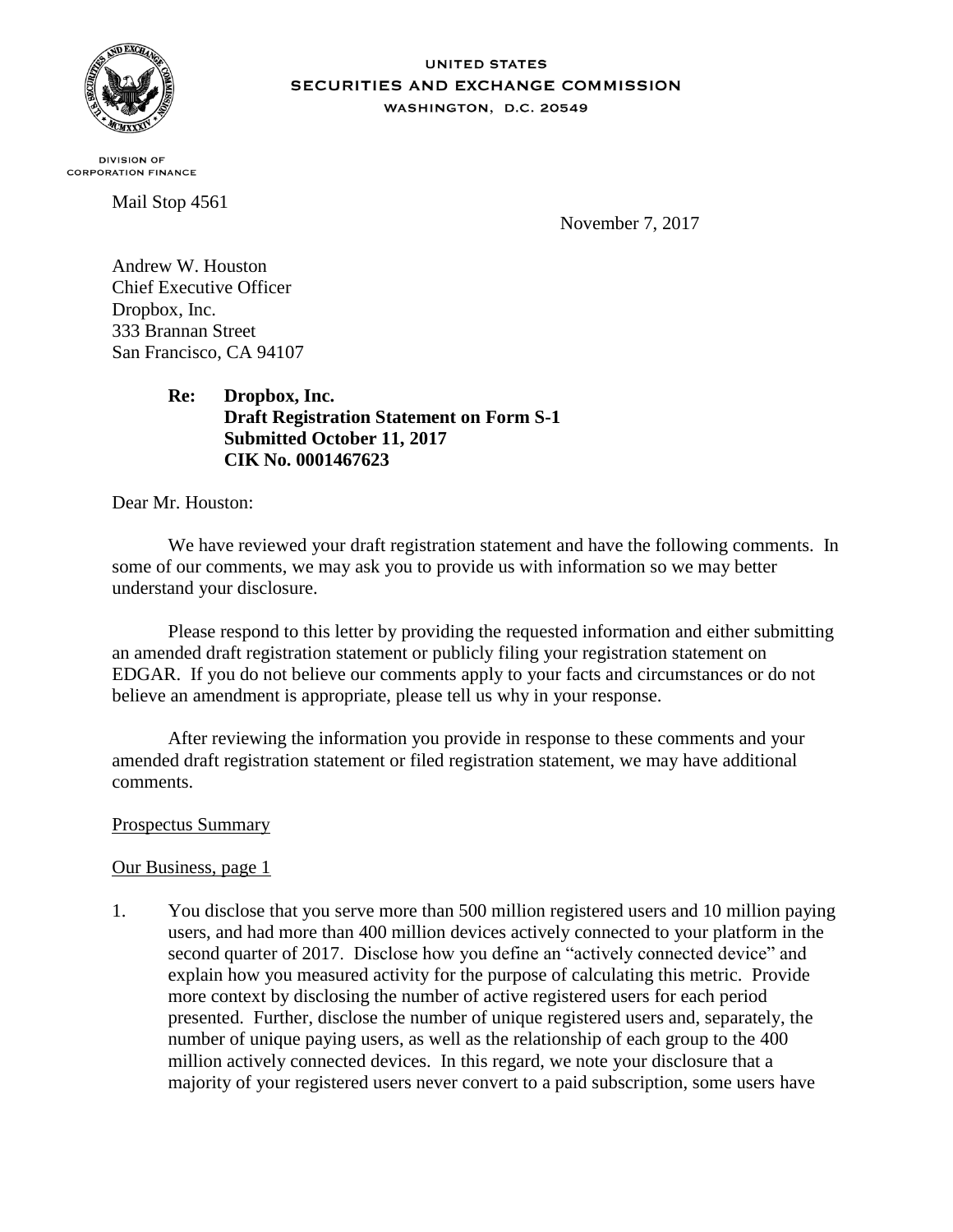

#### **UNITED STATES** SECURITIES AND EXCHANGE COMMISSION WASHINGTON, D.C. 20549

**DIVISION OF CORPORATION FINANCE** 

Mail Stop 4561

November 7, 2017

Andrew W. Houston Chief Executive Officer Dropbox, Inc. 333 Brannan Street San Francisco, CA 94107

> **Re: Dropbox, Inc. Draft Registration Statement on Form S-1 Submitted October 11, 2017 CIK No. 0001467623**

Dear Mr. Houston:

We have reviewed your draft registration statement and have the following comments. In some of our comments, we may ask you to provide us with information so we may better understand your disclosure.

Please respond to this letter by providing the requested information and either submitting an amended draft registration statement or publicly filing your registration statement on EDGAR. If you do not believe our comments apply to your facts and circumstances or do not believe an amendment is appropriate, please tell us why in your response.

After reviewing the information you provide in response to these comments and your amended draft registration statement or filed registration statement, we may have additional comments.

# Prospectus Summary

# Our Business, page 1

1. You disclose that you serve more than 500 million registered users and 10 million paying users, and had more than 400 million devices actively connected to your platform in the second quarter of 2017. Disclose how you define an "actively connected device" and explain how you measured activity for the purpose of calculating this metric. Provide more context by disclosing the number of active registered users for each period presented. Further, disclose the number of unique registered users and, separately, the number of unique paying users, as well as the relationship of each group to the 400 million actively connected devices. In this regard, we note your disclosure that a majority of your registered users never convert to a paid subscription, some users have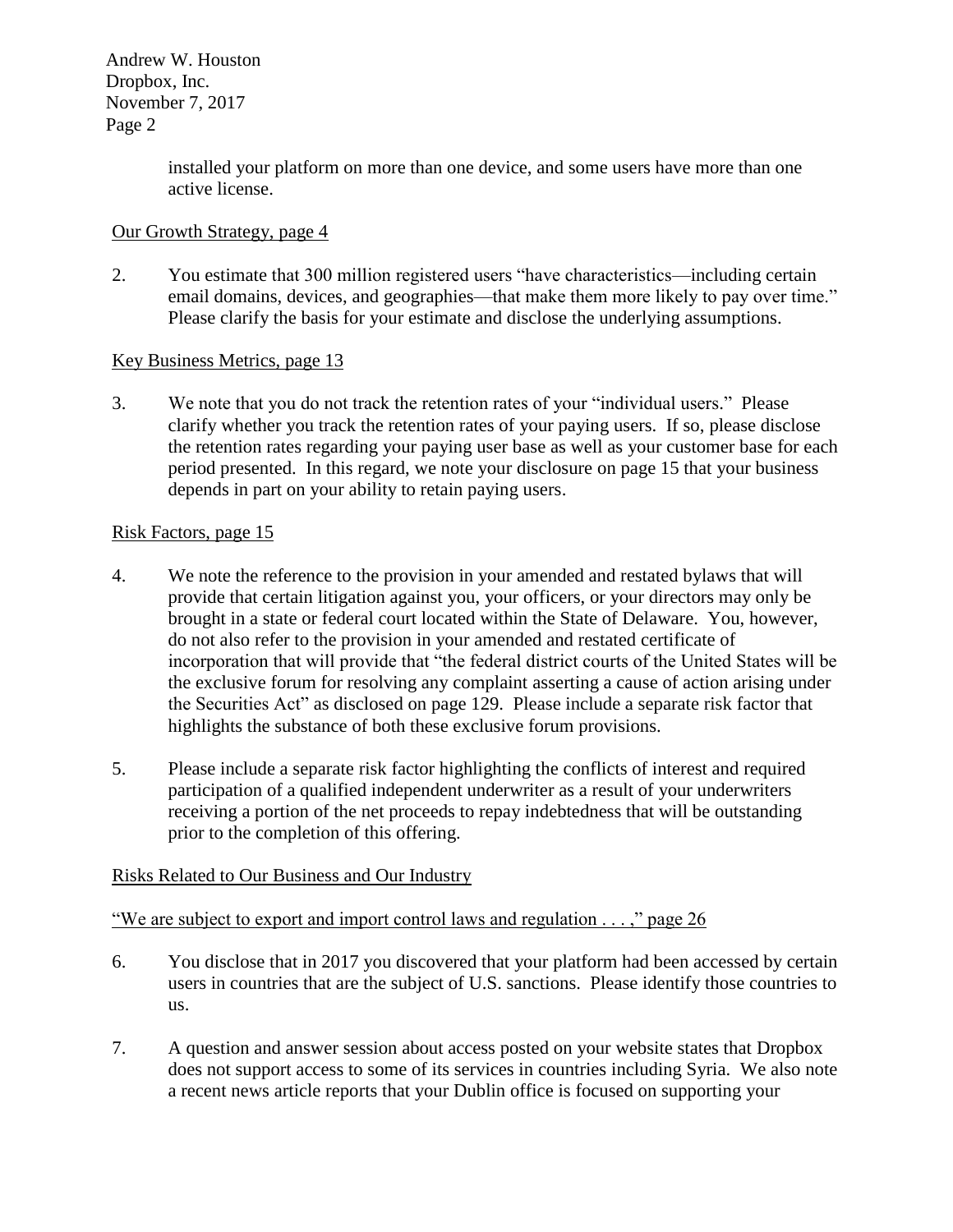> installed your platform on more than one device, and some users have more than one active license.

## Our Growth Strategy, page 4

2. You estimate that 300 million registered users "have characteristics—including certain email domains, devices, and geographies—that make them more likely to pay over time." Please clarify the basis for your estimate and disclose the underlying assumptions.

### Key Business Metrics, page 13

3. We note that you do not track the retention rates of your "individual users." Please clarify whether you track the retention rates of your paying users. If so, please disclose the retention rates regarding your paying user base as well as your customer base for each period presented. In this regard, we note your disclosure on page 15 that your business depends in part on your ability to retain paying users.

### Risk Factors, page 15

- 4. We note the reference to the provision in your amended and restated bylaws that will provide that certain litigation against you, your officers, or your directors may only be brought in a state or federal court located within the State of Delaware. You, however, do not also refer to the provision in your amended and restated certificate of incorporation that will provide that "the federal district courts of the United States will be the exclusive forum for resolving any complaint asserting a cause of action arising under the Securities Act" as disclosed on page 129. Please include a separate risk factor that highlights the substance of both these exclusive forum provisions.
- 5. Please include a separate risk factor highlighting the conflicts of interest and required participation of a qualified independent underwriter as a result of your underwriters receiving a portion of the net proceeds to repay indebtedness that will be outstanding prior to the completion of this offering.

### Risks Related to Our Business and Our Industry

"We are subject to export and import control laws and regulation . . . ," page 26

- 6. You disclose that in 2017 you discovered that your platform had been accessed by certain users in countries that are the subject of U.S. sanctions. Please identify those countries to us.
- 7. A question and answer session about access posted on your website states that Dropbox does not support access to some of its services in countries including Syria. We also note a recent news article reports that your Dublin office is focused on supporting your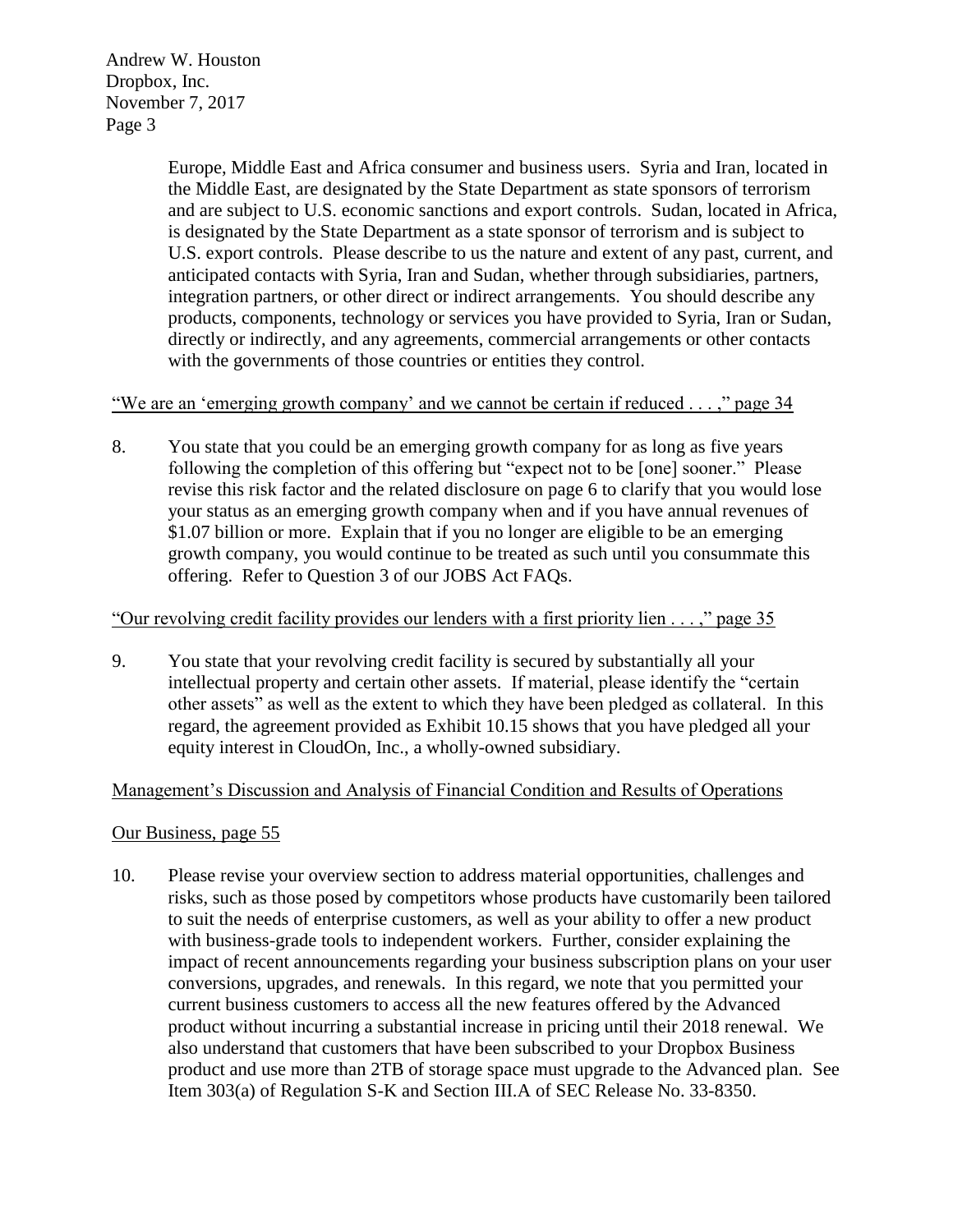> Europe, Middle East and Africa consumer and business users. Syria and Iran, located in the Middle East, are designated by the State Department as state sponsors of terrorism and are subject to U.S. economic sanctions and export controls. Sudan, located in Africa, is designated by the State Department as a state sponsor of terrorism and is subject to U.S. export controls. Please describe to us the nature and extent of any past, current, and anticipated contacts with Syria, Iran and Sudan, whether through subsidiaries, partners, integration partners, or other direct or indirect arrangements. You should describe any products, components, technology or services you have provided to Syria, Iran or Sudan, directly or indirectly, and any agreements, commercial arrangements or other contacts with the governments of those countries or entities they control.

"We are an 'emerging growth company' and we cannot be certain if reduced . . . ," page 34

8. You state that you could be an emerging growth company for as long as five years following the completion of this offering but "expect not to be [one] sooner." Please revise this risk factor and the related disclosure on page 6 to clarify that you would lose your status as an emerging growth company when and if you have annual revenues of \$1.07 billion or more. Explain that if you no longer are eligible to be an emerging growth company, you would continue to be treated as such until you consummate this offering. Refer to Question 3 of our JOBS Act FAQs.

### "Our revolving credit facility provides our lenders with a first priority lien . . . ," page 35

9. You state that your revolving credit facility is secured by substantially all your intellectual property and certain other assets. If material, please identify the "certain other assets" as well as the extent to which they have been pledged as collateral. In this regard, the agreement provided as Exhibit 10.15 shows that you have pledged all your equity interest in CloudOn, Inc., a wholly-owned subsidiary.

### Management's Discussion and Analysis of Financial Condition and Results of Operations

### Our Business, page 55

10. Please revise your overview section to address material opportunities, challenges and risks, such as those posed by competitors whose products have customarily been tailored to suit the needs of enterprise customers, as well as your ability to offer a new product with business-grade tools to independent workers. Further, consider explaining the impact of recent announcements regarding your business subscription plans on your user conversions, upgrades, and renewals. In this regard, we note that you permitted your current business customers to access all the new features offered by the Advanced product without incurring a substantial increase in pricing until their 2018 renewal. We also understand that customers that have been subscribed to your Dropbox Business product and use more than 2TB of storage space must upgrade to the Advanced plan. See Item 303(a) of Regulation S-K and Section III.A of SEC Release No. 33-8350.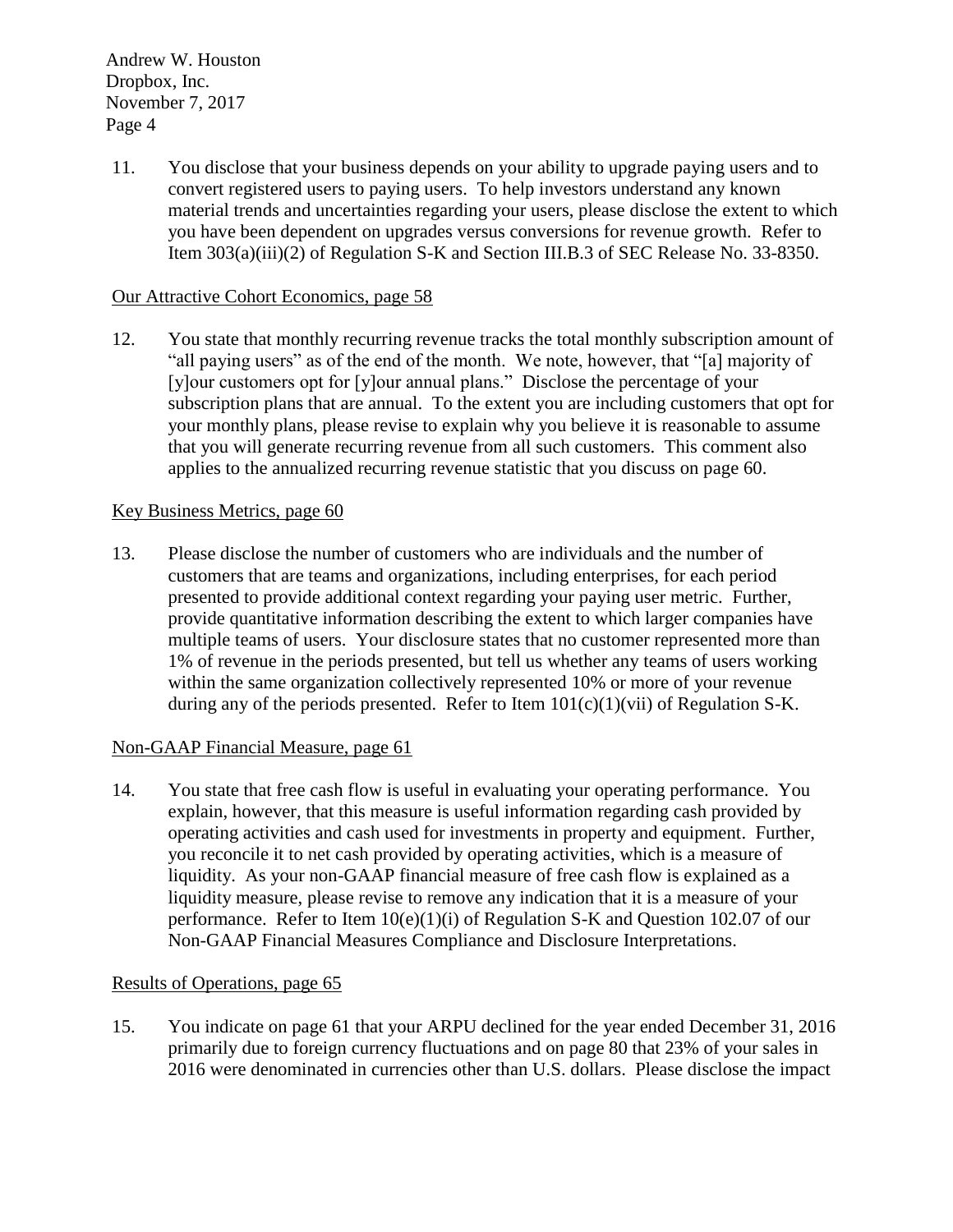11. You disclose that your business depends on your ability to upgrade paying users and to convert registered users to paying users. To help investors understand any known material trends and uncertainties regarding your users, please disclose the extent to which you have been dependent on upgrades versus conversions for revenue growth. Refer to Item 303(a)(iii)(2) of Regulation S-K and Section III.B.3 of SEC Release No. 33-8350.

## Our Attractive Cohort Economics, page 58

12. You state that monthly recurring revenue tracks the total monthly subscription amount of "all paying users" as of the end of the month. We note, however, that "[a] majority of [y]our customers opt for [y]our annual plans." Disclose the percentage of your subscription plans that are annual. To the extent you are including customers that opt for your monthly plans, please revise to explain why you believe it is reasonable to assume that you will generate recurring revenue from all such customers. This comment also applies to the annualized recurring revenue statistic that you discuss on page 60.

### Key Business Metrics, page 60

13. Please disclose the number of customers who are individuals and the number of customers that are teams and organizations, including enterprises, for each period presented to provide additional context regarding your paying user metric. Further, provide quantitative information describing the extent to which larger companies have multiple teams of users. Your disclosure states that no customer represented more than 1% of revenue in the periods presented, but tell us whether any teams of users working within the same organization collectively represented 10% or more of your revenue during any of the periods presented. Refer to Item  $101(c)(1)(vi)$  of Regulation S-K.

### Non-GAAP Financial Measure, page 61

14. You state that free cash flow is useful in evaluating your operating performance. You explain, however, that this measure is useful information regarding cash provided by operating activities and cash used for investments in property and equipment. Further, you reconcile it to net cash provided by operating activities, which is a measure of liquidity. As your non-GAAP financial measure of free cash flow is explained as a liquidity measure, please revise to remove any indication that it is a measure of your performance. Refer to Item  $10(e)(1)(i)$  of Regulation S-K and Question 102.07 of our Non-GAAP Financial Measures Compliance and Disclosure Interpretations.

### Results of Operations, page 65

15. You indicate on page 61 that your ARPU declined for the year ended December 31, 2016 primarily due to foreign currency fluctuations and on page 80 that 23% of your sales in 2016 were denominated in currencies other than U.S. dollars. Please disclose the impact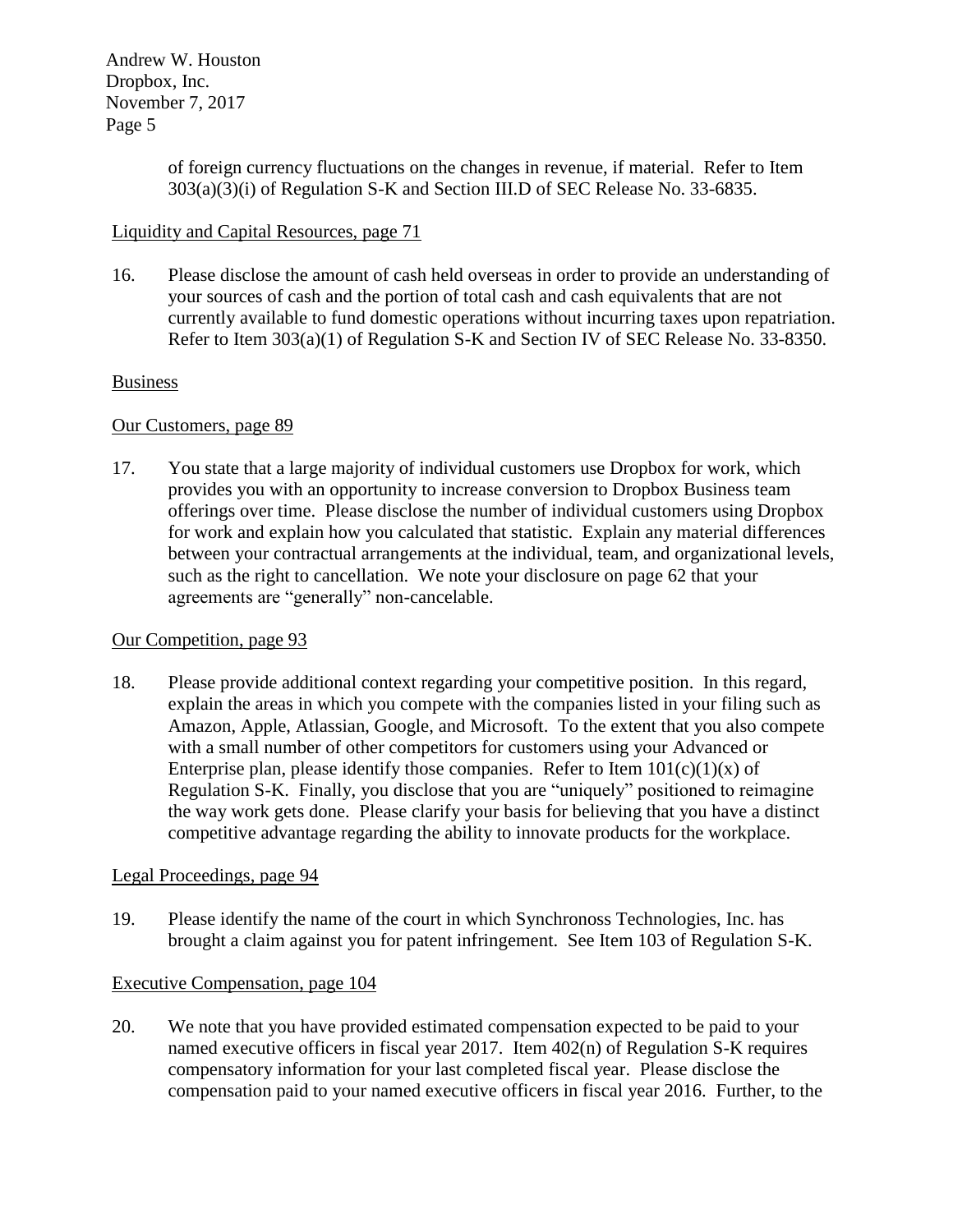> of foreign currency fluctuations on the changes in revenue, if material. Refer to Item 303(a)(3)(i) of Regulation S-K and Section III.D of SEC Release No. 33-6835.

## Liquidity and Capital Resources, page 71

16. Please disclose the amount of cash held overseas in order to provide an understanding of your sources of cash and the portion of total cash and cash equivalents that are not currently available to fund domestic operations without incurring taxes upon repatriation. Refer to Item 303(a)(1) of Regulation S-K and Section IV of SEC Release No. 33-8350.

### Business

### Our Customers, page 89

17. You state that a large majority of individual customers use Dropbox for work, which provides you with an opportunity to increase conversion to Dropbox Business team offerings over time. Please disclose the number of individual customers using Dropbox for work and explain how you calculated that statistic. Explain any material differences between your contractual arrangements at the individual, team, and organizational levels, such as the right to cancellation. We note your disclosure on page 62 that your agreements are "generally" non-cancelable.

### Our Competition, page 93

18. Please provide additional context regarding your competitive position. In this regard, explain the areas in which you compete with the companies listed in your filing such as Amazon, Apple, Atlassian, Google, and Microsoft. To the extent that you also compete with a small number of other competitors for customers using your Advanced or Enterprise plan, please identify those companies. Refer to Item  $101(c)(1)(x)$  of Regulation S-K. Finally, you disclose that you are "uniquely" positioned to reimagine the way work gets done. Please clarify your basis for believing that you have a distinct competitive advantage regarding the ability to innovate products for the workplace.

### Legal Proceedings, page 94

19. Please identify the name of the court in which Synchronoss Technologies, Inc. has brought a claim against you for patent infringement. See Item 103 of Regulation S-K.

### Executive Compensation, page 104

20. We note that you have provided estimated compensation expected to be paid to your named executive officers in fiscal year 2017. Item 402(n) of Regulation S-K requires compensatory information for your last completed fiscal year. Please disclose the compensation paid to your named executive officers in fiscal year 2016. Further, to the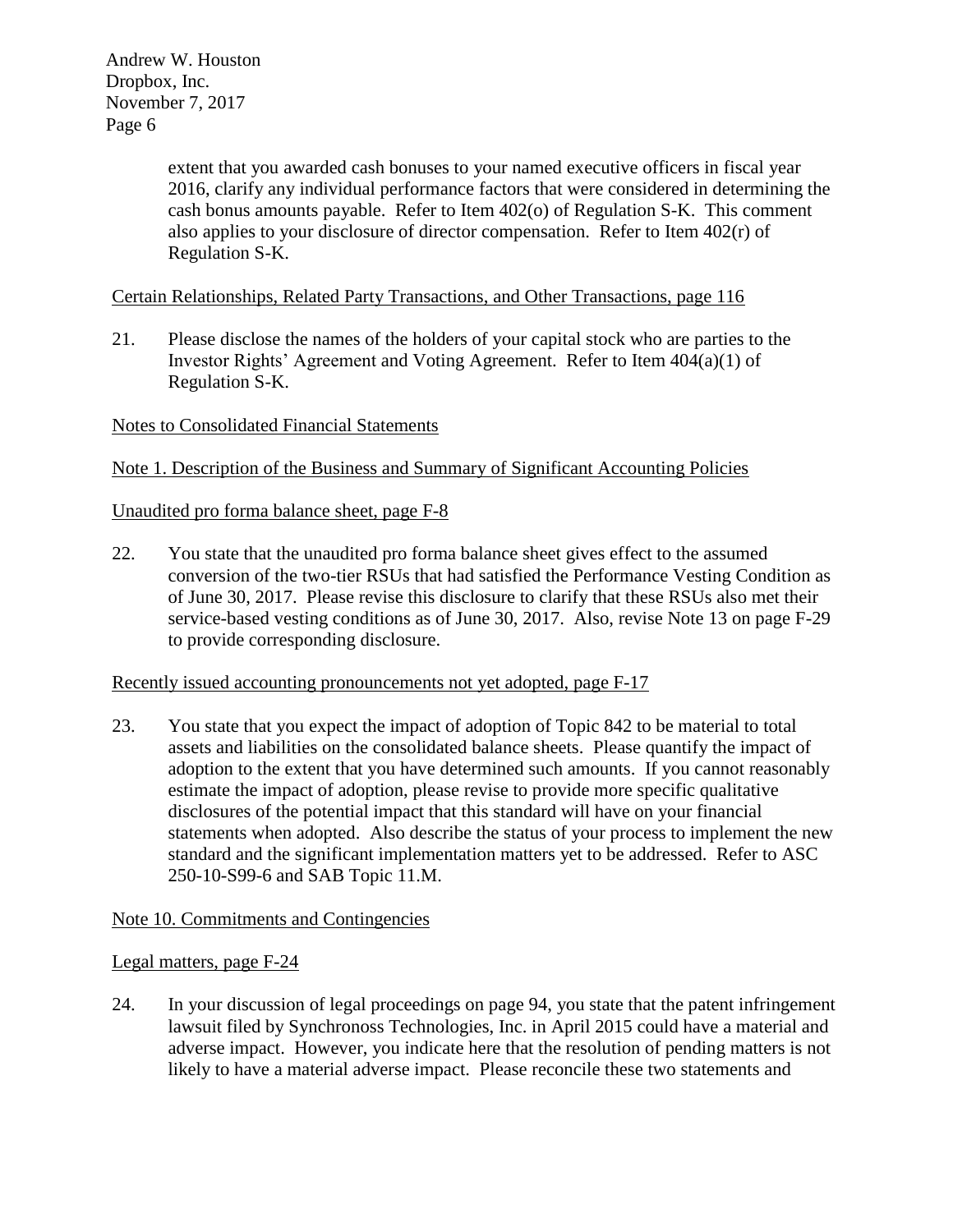> extent that you awarded cash bonuses to your named executive officers in fiscal year 2016, clarify any individual performance factors that were considered in determining the cash bonus amounts payable. Refer to Item 402(o) of Regulation S-K. This comment also applies to your disclosure of director compensation. Refer to Item 402(r) of Regulation S-K.

# Certain Relationships, Related Party Transactions, and Other Transactions, page 116

21. Please disclose the names of the holders of your capital stock who are parties to the Investor Rights' Agreement and Voting Agreement. Refer to Item 404(a)(1) of Regulation S-K.

### Notes to Consolidated Financial Statements

Note 1. Description of the Business and Summary of Significant Accounting Policies

### Unaudited pro forma balance sheet, page F-8

22. You state that the unaudited pro forma balance sheet gives effect to the assumed conversion of the two-tier RSUs that had satisfied the Performance Vesting Condition as of June 30, 2017. Please revise this disclosure to clarify that these RSUs also met their service-based vesting conditions as of June 30, 2017. Also, revise Note 13 on page F-29 to provide corresponding disclosure.

#### Recently issued accounting pronouncements not yet adopted, page F-17

23. You state that you expect the impact of adoption of Topic 842 to be material to total assets and liabilities on the consolidated balance sheets. Please quantify the impact of adoption to the extent that you have determined such amounts. If you cannot reasonably estimate the impact of adoption, please revise to provide more specific qualitative disclosures of the potential impact that this standard will have on your financial statements when adopted. Also describe the status of your process to implement the new standard and the significant implementation matters yet to be addressed. Refer to ASC 250-10-S99-6 and SAB Topic 11.M.

### Note 10. Commitments and Contingencies

#### Legal matters, page F-24

24. In your discussion of legal proceedings on page 94, you state that the patent infringement lawsuit filed by Synchronoss Technologies, Inc. in April 2015 could have a material and adverse impact. However, you indicate here that the resolution of pending matters is not likely to have a material adverse impact. Please reconcile these two statements and